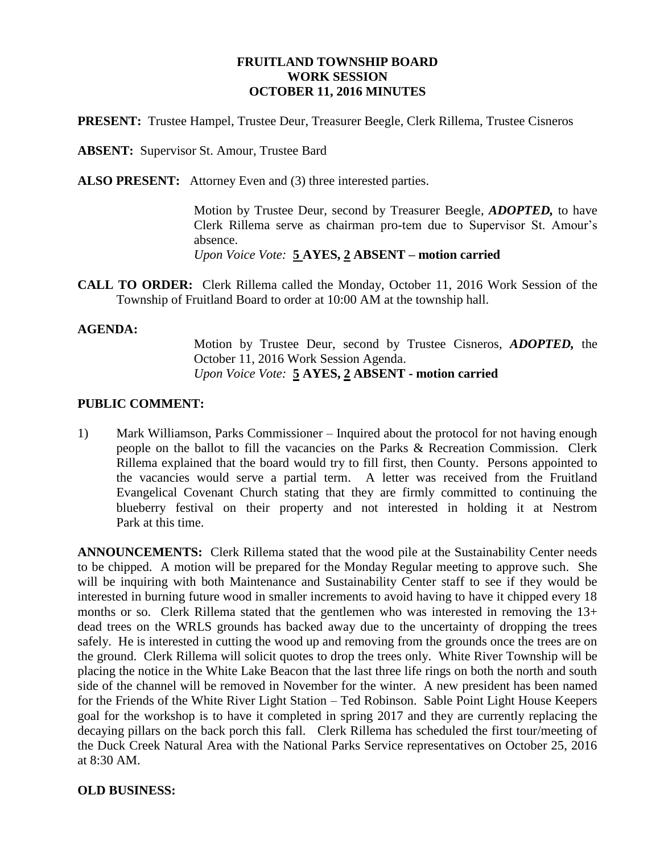## **FRUITLAND TOWNSHIP BOARD WORK SESSION OCTOBER 11, 2016 MINUTES**

**PRESENT:** Trustee Hampel, Trustee Deur, Treasurer Beegle, Clerk Rillema, Trustee Cisneros

**ABSENT:** Supervisor St. Amour, Trustee Bard

**ALSO PRESENT:** Attorney Even and (3) three interested parties.

Motion by Trustee Deur, second by Treasurer Beegle, *ADOPTED,* to have Clerk Rillema serve as chairman pro-tem due to Supervisor St. Amour's absence.

*Upon Voice Vote:* **5 AYES, 2 ABSENT – motion carried**

**CALL TO ORDER:** Clerk Rillema called the Monday, October 11, 2016 Work Session of the Township of Fruitland Board to order at 10:00 AM at the township hall.

#### **AGENDA:**

Motion by Trustee Deur, second by Trustee Cisneros, *ADOPTED,* the October 11, 2016 Work Session Agenda. *Upon Voice Vote:* **5 AYES, 2 ABSENT - motion carried**

#### **PUBLIC COMMENT:**

1) Mark Williamson, Parks Commissioner – Inquired about the protocol for not having enough people on the ballot to fill the vacancies on the Parks & Recreation Commission. Clerk Rillema explained that the board would try to fill first, then County. Persons appointed to the vacancies would serve a partial term. A letter was received from the Fruitland Evangelical Covenant Church stating that they are firmly committed to continuing the blueberry festival on their property and not interested in holding it at Nestrom Park at this time.

**ANNOUNCEMENTS:** Clerk Rillema stated that the wood pile at the Sustainability Center needs to be chipped. A motion will be prepared for the Monday Regular meeting to approve such. She will be inquiring with both Maintenance and Sustainability Center staff to see if they would be interested in burning future wood in smaller increments to avoid having to have it chipped every 18 months or so. Clerk Rillema stated that the gentlemen who was interested in removing the 13+ dead trees on the WRLS grounds has backed away due to the uncertainty of dropping the trees safely. He is interested in cutting the wood up and removing from the grounds once the trees are on the ground. Clerk Rillema will solicit quotes to drop the trees only. White River Township will be placing the notice in the White Lake Beacon that the last three life rings on both the north and south side of the channel will be removed in November for the winter. A new president has been named for the Friends of the White River Light Station – Ted Robinson. Sable Point Light House Keepers goal for the workshop is to have it completed in spring 2017 and they are currently replacing the decaying pillars on the back porch this fall. Clerk Rillema has scheduled the first tour/meeting of the Duck Creek Natural Area with the National Parks Service representatives on October 25, 2016 at 8:30 AM.

## **OLD BUSINESS:**